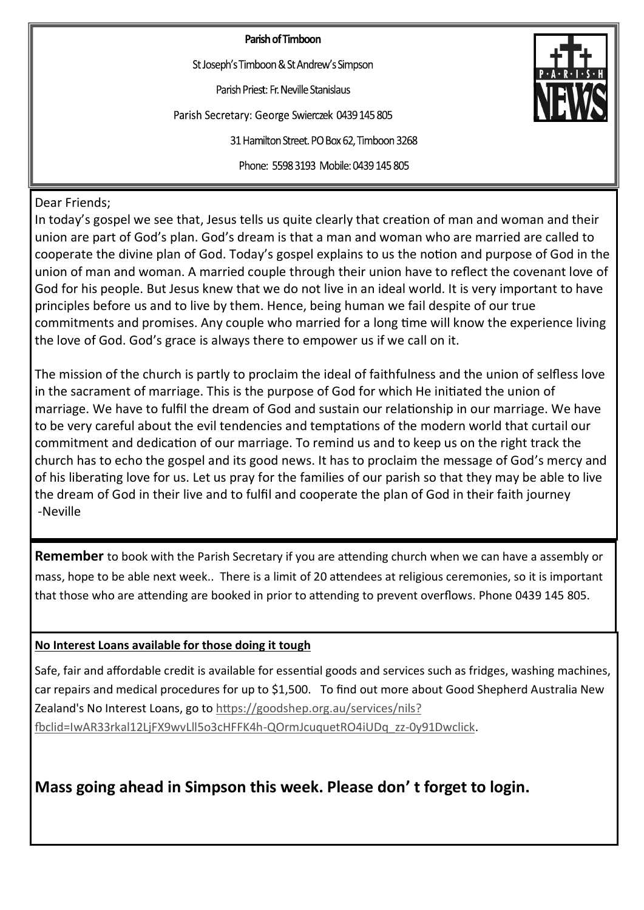Parish of Timboon

St Joseph's Timboon & St Andrew's Simpson

Parish Priest: Fr. Neville Stanislaus

Parish Secretary: George Swierczek 0439 145 805

31 Hamilton Street. PO Box 62, Timboon 3268

Phone: 5598 3193 Mobile: 0439 145 805

Dear Friends;

In today's gospel we see that, Jesus tells us quite clearly that creation of man and woman and their union are part of God's plan. God's dream is that a man and woman who are married are called to cooperate the divine plan of God. Today's gospel explains to us the notion and purpose of God in the union of man and woman. A married couple through their union have to reflect the covenant love of God for his people. But Jesus knew that we do not live in an ideal world. It is very important to have principles before us and to live by them. Hence, being human we fail despite of our true commitments and promises. Any couple who married for a long time will know the experience living the love of God. God's grace is always there to empower us if we call on it.

The mission of the church is partly to proclaim the ideal of faithfulness and the union of selfless love in the sacrament of marriage. This is the purpose of God for which He initiated the union of marriage. We have to fulfil the dream of God and sustain our relationship in our marriage. We have to be very careful about the evil tendencies and temptations of the modern world that curtail our commitment and dedication of our marriage. To remind us and to keep us on the right track the church has to echo the gospel and its good news. It has to proclaim the message of God's mercy and of his liberating love for us. Let us pray for the families of our parish so that they may be able to live the dream of God in their live and to fulfil and cooperate the plan of God in their faith journey -Neville

**Remember** to book with the Parish Secretary if you are attending church when we can have a assembly or mass, hope to be able next week.. There is a limit of 20 attendees at religious ceremonies, so it is important that those who are attending are booked in prior to attending to prevent overflows. Phone 0439 145 805.

# **No Interest Loans available for those doing it tough**

Safe, fair and affordable credit is available for essential goods and services such as fridges, washing machines, car repairs and medical procedures for up to \$1,500. To find out more about Good Shepherd Australia New Zealand's No Interest Loans, go to [https://goodshep.org.au/services/nils?](https://goodshep.org.au/services/nils?fbclid=IwAR33rkal12LjFX9wvLll5o3cHFFK4h-QOrmJcuquetRO4iUDq_zz-0y91Dwclick) [fbclid=IwAR33rkal12LjFX9wvLll5o3cHFFK4h](https://goodshep.org.au/services/nils?fbclid=IwAR33rkal12LjFX9wvLll5o3cHFFK4h-QOrmJcuquetRO4iUDq_zz-0y91Dwclick)-QOrmJcuquetRO4iUDq\_zz-0y91Dwclick.

**Mass going ahead in Simpson this week. Please don' t forget to login.**

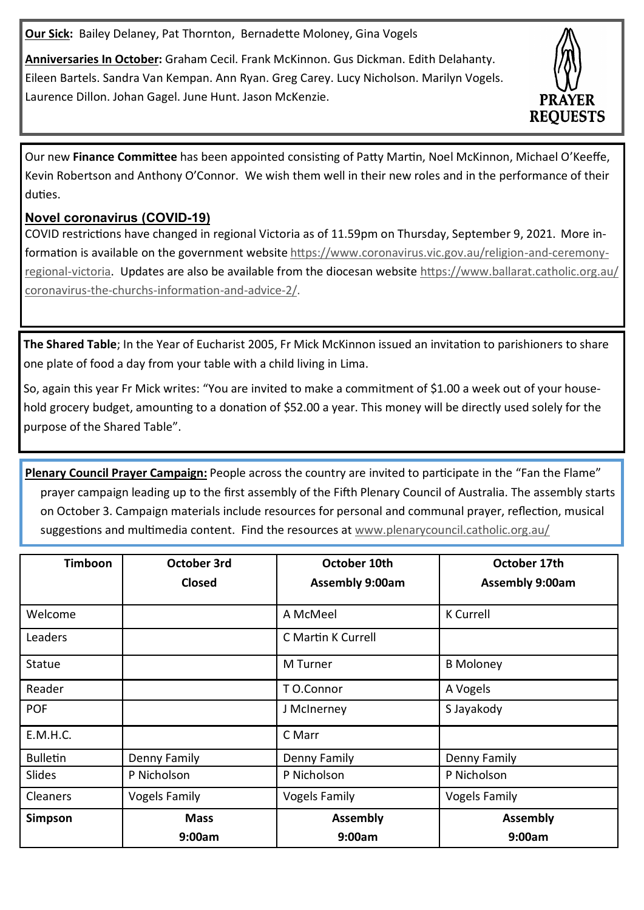**Our Sick:** Bailey Delaney, Pat Thornton, Bernadette Moloney, Gina Vogels

**Anniversaries In October:** Graham Cecil. Frank McKinnon. Gus Dickman. Edith Delahanty. Eileen Bartels. Sandra Van Kempan. Ann Ryan. Greg Carey. Lucy Nicholson. Marilyn Vogels. Laurence Dillon. Johan Gagel. June Hunt. Jason McKenzie.



Our new **Finance Committee** has been appointed consisting of Patty Martin, Noel McKinnon, Michael O'Keeffe, Kevin Robertson and Anthony O'Connor. We wish them well in their new roles and in the performance of their duties.

# **Novel coronavirus (COVID-19)**

COVID restrictions have changed in regional Victoria as of 11.59pm on Thursday, September 9, 2021. More information is available on the government website [https://www.coronavirus.vic.gov.au/religion](https://www.coronavirus.vic.gov.au/religion-and-ceremony-regional-victoria)-and-ceremony[regional](https://www.coronavirus.vic.gov.au/religion-and-ceremony-regional-victoria)-victoria. Updates are also be available from the diocesan website [https://www.ballarat.catholic.org.au/](https://www.ballarat.catholic.org.au/coronavirus-the-churchs-information-and-advice-2/) coronavirus-the-churchs-[information](https://www.ballarat.catholic.org.au/coronavirus-the-churchs-information-and-advice-2/)-and-advice-2/.

**The Shared Table**; In the Year of Eucharist 2005, Fr Mick McKinnon issued an invitation to parishioners to share one plate of food a day from your table with a child living in Lima.

So, again this year Fr Mick writes: "You are invited to make a commitment of \$1.00 a week out of your household grocery budget, amounting to a donation of \$52.00 a year. This money will be directly used solely for the purpose of the Shared Table".

**Plenary Council Prayer Campaign:** People across the country are invited to participate in the "Fan the Flame" prayer campaign leading up to the first assembly of the Fifth Plenary Council of Australia. The assembly starts on October 3. Campaign materials include resources for personal and communal prayer, reflection, musical suggestions and multimedia content. Find the resources at [www.plenarycouncil.catholic.org.au/](http://www.plenarycouncil.catholic.org.au/fantheflame/)

| <b>Timboon</b>  | October 3rd          | October 10th           | October 17th           |
|-----------------|----------------------|------------------------|------------------------|
|                 | <b>Closed</b>        | <b>Assembly 9:00am</b> | <b>Assembly 9:00am</b> |
|                 |                      |                        |                        |
| Welcome         |                      | A McMeel               | <b>K</b> Currell       |
| Leaders         |                      | C Martin K Currell     |                        |
| Statue          |                      | M Turner               | <b>B</b> Moloney       |
| Reader          |                      | T O.Connor             | A Vogels               |
| <b>POF</b>      |                      | J McInerney            | S Jayakody             |
| E.M.H.C.        |                      | C Marr                 |                        |
| <b>Bulletin</b> | Denny Family         | Denny Family           | Denny Family           |
| Slides          | P Nicholson          | P Nicholson            | P Nicholson            |
| Cleaners        | <b>Vogels Family</b> | <b>Vogels Family</b>   | <b>Vogels Family</b>   |
| Simpson         | <b>Mass</b>          | <b>Assembly</b>        | <b>Assembly</b>        |
|                 | 9:00am               | 9:00am                 | 9:00am                 |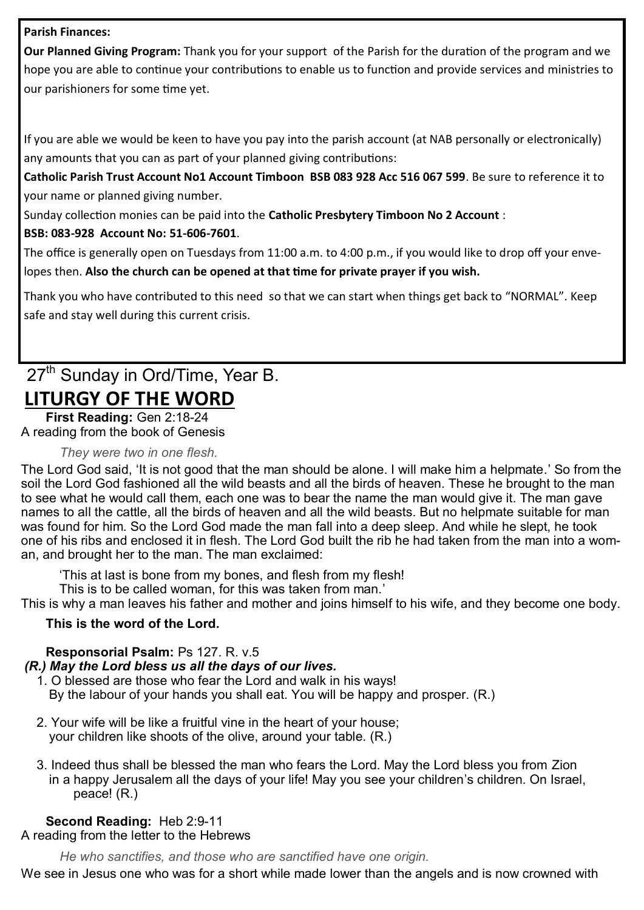# **Parish Finances:**

**Our Planned Giving Program:** Thank you for your support of the Parish for the duration of the program and we hope you are able to continue your contributions to enable us to function and provide services and ministries to our parishioners for some time yet.

If you are able we would be keen to have you pay into the parish account (at NAB personally or electronically) any amounts that you can as part of your planned giving contributions:

**Catholic Parish Trust Account No1 Account Timboon BSB 083 928 Acc 516 067 599**. Be sure to reference it to your name or planned giving number.

Sunday collection monies can be paid into the **Catholic Presbytery Timboon No 2 Account** :

# **BSB: 083-928 Account No: 51-606-7601**.

The office is generally open on Tuesdays from 11:00 a.m. to 4:00 p.m., if you would like to drop off your envelopes then. **Also the church can be opened at that time for private prayer if you wish.**

Thank you who have contributed to this need so that we can start when things get back to "NORMAL". Keep safe and stay well during this current crisis.

# 27<sup>th</sup> Sunday in Ord/Time, Year B. **LITURGY OF THE WORD**

**First Reading:** [Gen 2:18](https://liturgyhelp.com/ritual/lectionary/LectionaryList%7Cgen#gen002)-24 A reading from the book of Genesis

# *They were two in one flesh.*

The Lord God said, 'It is not good that the man should be alone. I will make him a helpmate.' So from the soil the Lord God fashioned all the wild beasts and all the birds of heaven. These he brought to the man to see what he would call them, each one was to bear the name the man would give it. The man gave names to all the cattle, all the birds of heaven and all the wild beasts. But no helpmate suitable for man was found for him. So the Lord God made the man fall into a deep sleep. And while he slept, he took one of his ribs and enclosed it in flesh. The Lord God built the rib he had taken from the man into a woman, and brought her to the man. The man exclaimed:

'This at last is bone from my bones, and flesh from my flesh!

This is to be called woman, for this was taken from man.'

This is why a man leaves his father and mother and joins himself to his wife, and they become one body.

# **This is the word of the Lord.**

**Responsorial Psalm:** [Ps 127. R. v.5](https://liturgyhelp.com/ritual/lectionary/LectionaryListPsalm%7Cpsm)

*(R.) May the Lord bless us all the days of our lives.*

- 1. O blessed are those who fear the Lord and walk in his ways! By the labour of your hands you shall eat. You will be happy and prosper. (R.)
- 2. Your wife will be like a fruitful vine in the heart of your house; your children like shoots of the olive, around your table. (R.)
- 3. Indeed thus shall be blessed the man who fears the Lord. May the Lord bless you from Zion in a happy Jerusalem all the days of your life! May you see your children's children. On Israel, peace! (R.)

# **Second Reading:** [Heb 2:9](https://liturgyhelp.com/ritual/lectionary/LectionaryList%7Cheb#heb002)-11

A reading from the letter to the Hebrews

*He who sanctifies, and those who are sanctified have one origin.*

We see in Jesus one who was for a short while made lower than the angels and is now crowned with